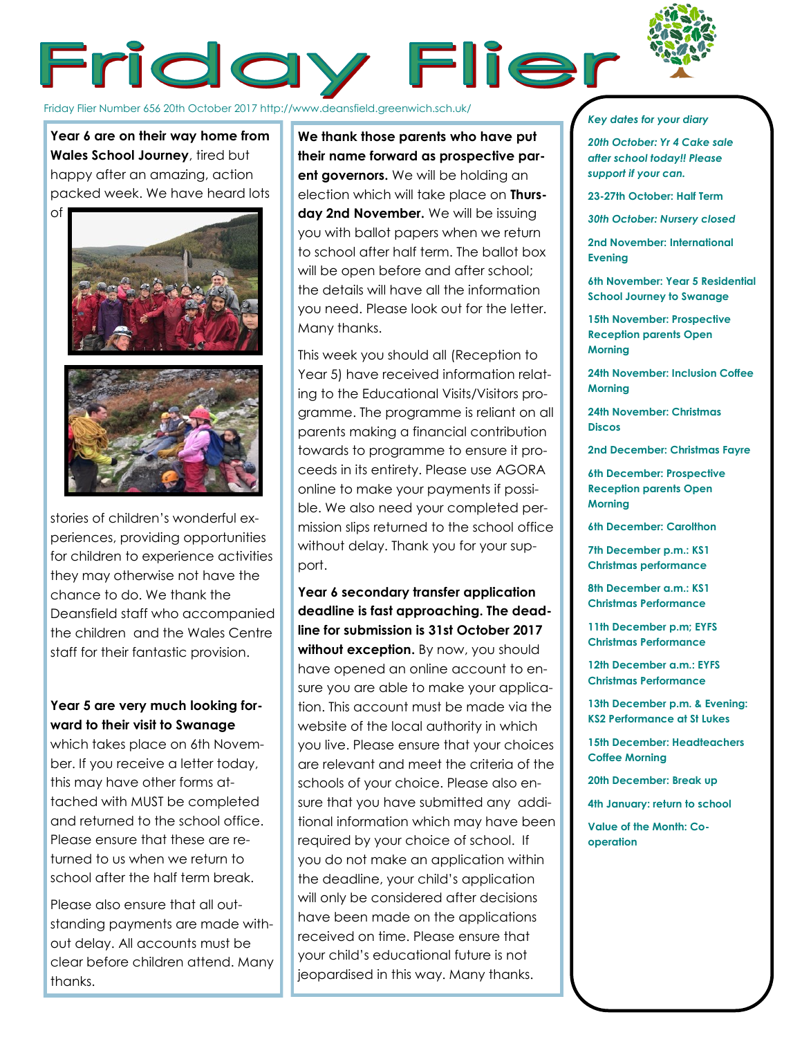

# Friday Flier

Friday Flier Number 656 20th October 2017 http://www.deansfield.greenwich.sch.uk/

**Year 6 are on their way home from Wales School Journey**, tired but happy after an amazing, action packed week. We have heard lots





stories of children's wonderful experiences, providing opportunities for children to experience activities they may otherwise not have the chance to do. We thank the Deansfield staff who accompanied the children and the Wales Centre staff for their fantastic provision.

# **Year 5 are very much looking forward to their visit to Swanage**

which takes place on 6th November. If you receive a letter today, this may have other forms attached with MUST be completed and returned to the school office. Please ensure that these are returned to us when we return to school after the half term break.

Please also ensure that all outstanding payments are made without delay. All accounts must be clear before children attend. Many thanks.

**We thank those parents who have put their name forward as prospective parent governors.** We will be holding an election which will take place on **Thursday 2nd November.** We will be issuing you with ballot papers when we return to school after half term. The ballot box will be open before and after school; the details will have all the information you need. Please look out for the letter. Many thanks.

This week you should all (Reception to Year 5) have received information relating to the Educational Visits/Visitors programme. The programme is reliant on all parents making a financial contribution towards to programme to ensure it proceeds in its entirety. Please use AGORA online to make your payments if possible. We also need your completed permission slips returned to the school office without delay. Thank you for your support.

**Year 6 secondary transfer application deadline is fast approaching. The deadline for submission is 31st October 2017**  without exception. By now, you should have opened an online account to ensure you are able to make your application. This account must be made via the website of the local authority in which you live. Please ensure that your choices are relevant and meet the criteria of the schools of your choice. Please also ensure that you have submitted any additional information which may have been required by your choice of school. If you do not make an application within the deadline, your child's application will only be considered after decisions have been made on the applications received on time. Please ensure that your child's educational future is not jeopardised in this way. Many thanks.

#### *Key dates for your diary*

*20th October: Yr 4 Cake sale after school today!! Please support if your can.*

**23-27th October: Half Term**

*30th October: Nursery closed*

**2nd November: International Evening**

**6th November: Year 5 Residential School Journey to Swanage**

**15th November: Prospective Reception parents Open Morning**

**24th November: Inclusion Coffee Morning**

**24th November: Christmas Discos**

**2nd December: Christmas Fayre**

**6th December: Prospective Reception parents Open Morning**

**6th December: Carolthon**

**7th December p.m.: KS1 Christmas performance**

**8th December a.m.: KS1 Christmas Performance**

**11th December p.m; EYFS Christmas Performance**

**12th December a.m.: EYFS Christmas Performance**

**13th December p.m. & Evening: KS2 Performance at St Lukes**

**15th December: Headteachers Coffee Morning**

**20th December: Break up**

**4th January: return to school**

**Value of the Month: Cooperation**